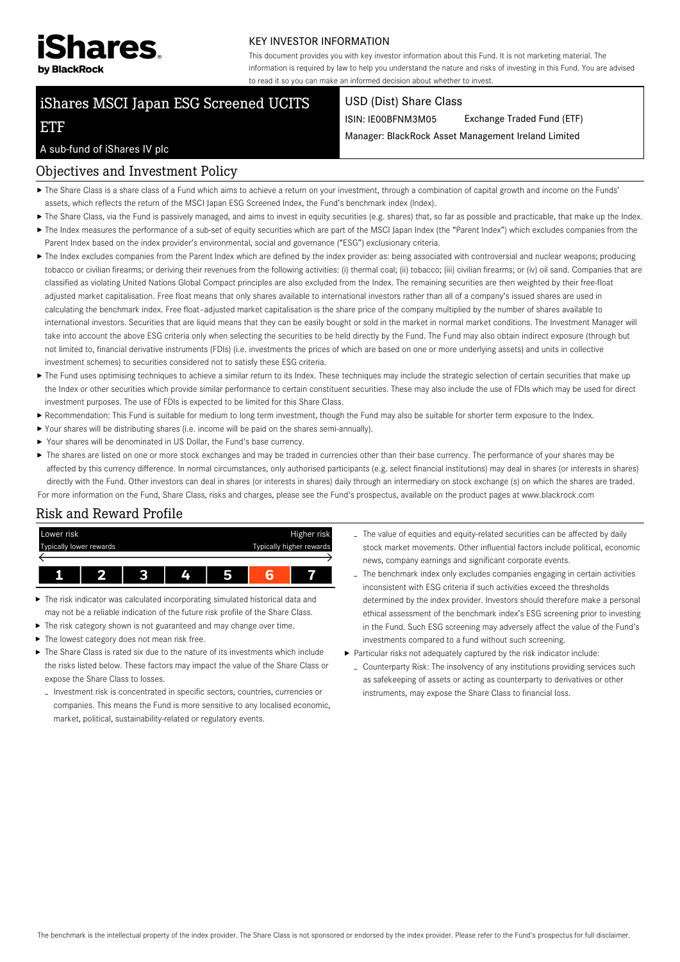

#### KEY INVESTOR INFORMATION

This document provides you with key investor information about this Fund. It is not marketing material. The information is required by law to help you understand the nature and risks of investing in this Fund. You are advised to read it so you can make an informed decision about whether to invest.

# iShares MSCI Japan ESG Screened UCITS

#### USD (Dist) Share Class

ISIN: IE00BFNM3M05 Exchange Traded Fund (ETF)

Manager: BlackRock Asset Management Ireland Limited

#### A sub-fund of iShares IV plc

ETF

### Objectives and Investment Policy

- The Share Class is a share class of a Fund which aims to achieve a return on your investment, through a combination of capital growth and income on the Funds' assets, which reflects the return of the MSCI Japan ESG Screened Index, the Fund's benchmark index (Index).
- ▶ The Share Class, via the Fund is passively managed, and aims to invest in equity securities (e.g. shares) that, so far as possible and practicable, that make up the Index.
- ▶ The Index measures the performance of a sub-set of equity securities which are part of the MSCI Japan Index (the "Parent Index") which excludes companies from the Parent Index based on the index provider's environmental, social and governance ("ESG") exclusionary criteria.
- ▶ The Index excludes companies from the Parent Index which are defined by the index provider as: being associated with controversial and nuclear weapons; producing tobacco or civilian firearms; or deriving their revenues from the following activities: (i) thermal coal; (ii) tobacco; (iii) civilian firearms; or (iv) oil sand. Companies that are classified as violating United Nations Global Compact principles are also excluded from the Index. The remaining securities are then weighted by their free-float adjusted market capitalisation. Free float means that only shares available to international investors rather than all of a company's issued shares are used in calculating the benchmark index. Free float–adjusted market capitalisation is the share price of the company multiplied by the number of shares available to international investors. Securities that are liquid means that they can be easily bought or sold in the market in normal market conditions. The Investment Manager will take into account the above ESG criteria only when selecting the securities to be held directly by the Fund. The Fund may also obtain indirect exposure (through but not limited to, financial derivative instruments (FDIs) (i.e. investments the prices of which are based on one or more underlying assets) and units in collective investment schemes) to securities considered not to satisfy these ESG criteria.
- ▶ The Fund uses optimising techniques to achieve a similar return to its Index. These techniques may include the strategic selection of certain securities that make up the Index or other securities which provide similar performance to certain constituent securities. These may also include the use of FDIs which may be used for direct investment purposes. The use of FDIs is expected to be limited for this Share Class.
- Recommendation: This Fund is suitable for medium to long term investment, though the Fund may also be suitable for shorter term exposure to the Index.
- Your shares will be distributing shares (i.e. income will be paid on the shares semi-annually).
- Your shares will be denominated in US Dollar, the Fund's base currency.
- ▶ The shares are listed on one or more stock exchanges and may be traded in currencies other than their base currency. The performance of your shares may be affected by this currency difference. In normal circumstances, only authorised participants (e.g. select financial institutions) may deal in shares (or interests in shares) directly with the Fund. Other investors can deal in shares (or interests in shares) daily through an intermediary on stock exchange (s) on which the shares are traded. For more information on the Fund, Share Class, risks and charges, please see the Fund's prospectus, available on the product pages at www.blackrock.com

## Risk and Reward Profile



- The risk indicator was calculated incorporating simulated historical data and may not be a reliable indication of the future risk profile of the Share Class.
- The risk category shown is not guaranteed and may change over time.
- $\blacktriangleright$  The lowest category does not mean risk free.
- $\blacktriangleright$  The Share Class is rated six due to the nature of its investments which include the risks listed below. These factors may impact the value of the Share Class or expose the Share Class to losses.
- Investment risk is concentrated in specific sectors, countries, currencies or companies. This means the Fund is more sensitive to any localised economic, market, political, sustainability-related or regulatory events.
- The value of equities and equity-related securities can be affected by daily stock market movements. Other influential factors include political, economic news, company earnings and significant corporate events.
- The benchmark index only excludes companies engaging in certain activities inconsistent with ESG criteria if such activities exceed the thresholds determined by the index provider. Investors should therefore make a personal ethical assessment of the benchmark index's ESG screening prior to investing in the Fund. Such ESG screening may adversely affect the value of the Fund's investments compared to a fund without such screening.
- Particular risks not adequately captured by the risk indicator include:
	- Counterparty Risk: The insolvency of any institutions providing services such as safekeeping of assets or acting as counterparty to derivatives or other instruments, may expose the Share Class to financial loss.